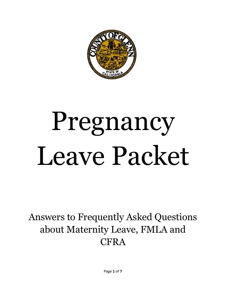

# Pregnancy Leave Packet

Answers to Frequently Asked Questions about Maternity Leave, FMLA and **CFRA**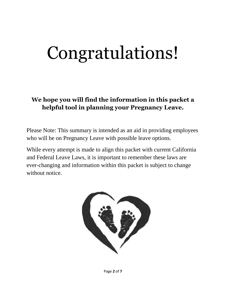# Congratulations!

### **We hope you will find the information in this packet a helpful tool in planning your Pregnancy Leave.**

Please Note: This summary is intended as an aid in providing employees who will be on Pregnancy Leave with possible leave options.

While every attempt is made to align this packet with current California and Federal Leave Laws, it is important to remember these laws are ever-changing and information within this packet is subject to change without notice.

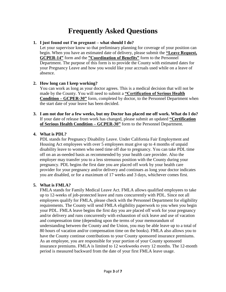# **Frequently Asked Questions**

#### **1. I just found out I'm pregnant – what should I do?**

Let your supervisor know so that preliminary planning for coverage of your position can begin. When you have an estimated date of delivery, please submit the **"Leave Request, GCPER-14"** form and the **"Coordination of Benefits"** form to the Personnel Department. The purpose of this form is to provide the County with estimated dates for your Pregnancy Leave and how you would like your accruals used while on a leave of absence.

#### **2. How long can I keep working?**

You can work as long as your doctor agrees. This is a medical decision that will not be made by the County. You will need to submit a **"Certification of Serious Health Condition – GCPER-30"** form, completed by doctor, to the Personnel Department when the start date of your leave has been decided.

**3. I am not due for a few weeks, but my Doctor has placed me off work. What do I do?** If your date of release from work has changed, please submit an updated **"Certification of Serious Health Condition – GCPER-30"** form to the Personnel Department.

#### **4. What is PDL?**

PDL stands for Pregnancy Disability Leave. Under California Fair Employment and Housing Act employees with over 5 employees must give up to 4 months of unpaid disability leave to women who need time off due to pregnancy. You can take PDL time off on an as-needed basis as recommended by your health care provider. Also the employer may transfer you to a less strenuous position with the County during your pregnancy. PDL begins the first date you are placed off work by your health care provider for your pregnancy and/or delivery and continues as long your doctor indicates you are disabled, or for a maximum of 17 weeks and 3 days, whichever comes first.

#### **5. What is FMLA?**

FMLA stands for Family Medical Leave Act. FMLA allows qualified employees to take up to 12-weeks of job-protected leave and runs concurrently with PDL. Since not all employees qualify for FMLA, please check with the Personnel Department for eligibility requirements. The County will send FMLA eligibility paperwork to you when you begin your PDL. FMLA leave begins the first day you are placed off work for your pregnancy and/or delivery and runs concurrently with exhaustion of sick leave and use of vacation and compensation time (depending upon the terms of your memorandum of understanding between the County and the Union, you may be able leave up to a total of 80 hours of vacation and/or compensation time on the books). FMLA also allows you to have the County continue contributions to your County sponsored insurance premiums. As an employee, you are responsible for your portion of your County sponsored insurance premiums. FMLA is limited to 12 workweeks every 12 months. The 12-month period is measured backward from the date of your first FMLA leave usage.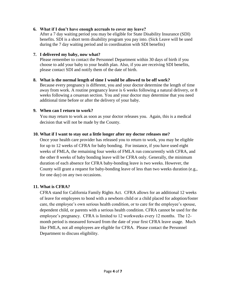#### **6. What if I don't have enough accruals to cover my leave?**

After a 7 day waiting period you may be eligible for State Disability Insurance (SDI) benefits. SDI is a short term disability program you pay into. (Sick Leave will be used during the 7 day waiting period and in coordination with SDI benefits)

#### **7. I delivered my baby, now what?**

Please remember to contact the Personnel Department within 30 days of birth if you choose to add your baby to your health plan. Also, if you are receiving SDI benefits, please contact SDI and notify them of the date of birth.

#### **8. What is the normal length of time I would be allowed to be off work?**

Because every pregnancy is different, you and your doctor determine the length of time away from work. A routine pregnancy leave is 6 weeks following a natural delivery, or 8 weeks following a cesarean section. You and your doctor may determine that you need additional time before or after the delivery of your baby.

#### **9. When can I return to work?**

You may return to work as soon as your doctor releases you. Again, this is a medical decision that will not be made by the County.

#### **10. What if I want to stay out a little longer after my doctor releases me?**

Once your health care provider has released you to return to work, you may be eligible for up to 12 weeks of CFRA for baby bonding. For instance, if you have used eight weeks of FMLA, the remaining four weeks of FMLA run concurrently with CFRA, and the other 8 weeks of baby bonding leave will be CFRA only. Generally, the minimum duration of each absence for CFRA baby-bonding leave is two weeks. However, the County will grant a request for baby-bonding leave of less than two weeks duration (e.g., for one day) on any two occasions.

#### **11. What is CFRA?**

CFRA stand for California Family Rights Act. CFRA allows for an additional 12 weeks of leave for employees to bond with a newborn child or a child placed for adoption/foster care, the employee's own serious health condition, or to care for the employee's spouse, dependent child, or parents with a serious health condition. CFRA cannot be used for the employee's pregnancy. CFRA is limited to 12 workweeks every 12 months. The 12 month period is measured forward from the date of your first CFRA leave usage. Much like FMLA, not all employees are eligible for CFRA. Please contact the Personnel Department to discuss eligibility.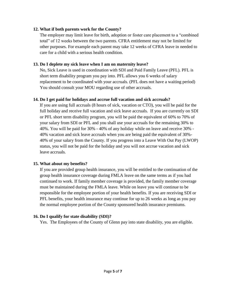#### **12. What if both parents work for the County?**

The employer may limit leave for birth, adoption or foster care placement to a "combined total" of 12 weeks between the two parents. CFRA entitlement may not be limited for other purposes. For example each parent may take 12 weeks of CFRA leave in needed to care for a child with a serious health condition.

#### **13. Do I deplete my sick leave when I am on maternity leave?**

No, Sick Leave is used in coordination with SDI and Paid Family Leave (PFL). PFL is short term disability program you pay into. PFL allows you 6 weeks of salary replacement to be coordinated with your accruals. (PFL does not have a waiting period) You should consult your MOU regarding use of other accruals.

#### **14. Do I get paid for holidays and accrue full vacation and sick accruals?**

If you are using full accruals (8 hours of sick, vacation or CTO), you will be paid for the full holiday and receive full vacation and sick leave accruals. If you are currently on SDI or PFL short term disability program, you will be paid the equivalent of 60% to 70% of your salary from SDI or PFL and you shall use your accruals for the remaining 30% to 40%. You will be paid for 30% - 40% of any holiday while on leave and receive 30% - 40% vacation and sick leave accruals when you are being paid the equivalent of 30%- 40% of your salary from the County. If you progress into a Leave With Out Pay (LWOP) status, you will not be paid for the holiday and you will not accrue vacation and sick leave accruals.

#### **15. What about my benefits?**

If you are provided group health insurance, you will be entitled to the continuation of the group health insurance coverage during FMLA leave on the same terms as if you had continued to work. If family member coverage is provided, the family member coverage must be maintained during the FMLA leave. While on leave you will continue to be responsible for the employee portion of your health benefits. If you are receiving SDI or PFL benefits, your health insurance may continue for up to 26 weeks as long as you pay the normal employee portion of the County sponsored health insurance premiums.

#### **16. Do I qualify for state disability (SDI)?**

Yes. The Employees of the County of Glenn pay into state disability, you are eligible.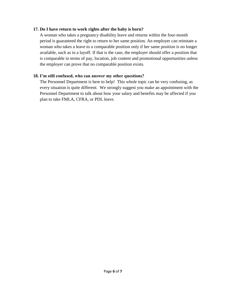#### **17. Do I have return to work rights after the baby is born?**

A woman who takes a pregnancy disability leave and returns within the four-month period is guaranteed the right to return to her same position. An employer can reinstate a woman who takes a leave to a comparable position only if her same position is no longer available, such as in a layoff. If that is the case, the employer should offer a position that is comparable in terms of pay, location, job content and promotional opportunities unless the employer can prove that no comparable position exists.

#### **18. I'm still confused, who can answer my other questions?**

The Personnel Department is here to help! This whole topic can be very confusing, as every situation is quite different. We strongly suggest you make an appointment with the Personnel Department to talk about how your salary and benefits may be affected if you plan to take FMLA, CFRA, or PDL leave.